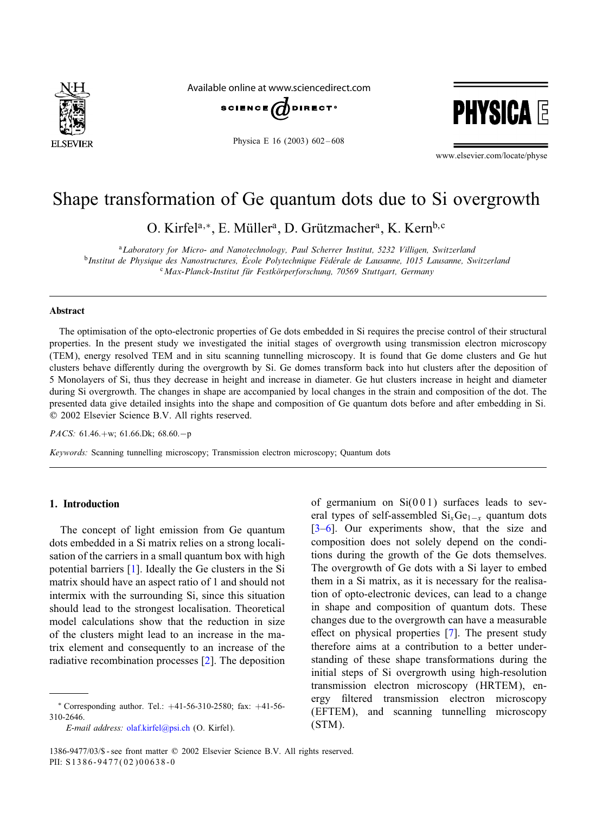

Available online at www.sciencedirect.com



Physica E 16 (2003) 602-608



www.elsevier.com/locate/physe

# Shape transformation of Ge quantum dots due to Si overgrowth

O. Kirfel<sup>a,∗</sup>, E. Müller<sup>a</sup>, D. Grützmacher<sup>a</sup>, K. Kern<sup>b, c</sup>

<sup>a</sup>*Laboratory for Micro- and Nanotechnology, Paul Scherrer Institut, 5232 Villigen, Switzerland*  $b$ Institut de Physique des Nanostructures, École Polytechnique Fédérale de Lausanne, 1015 Lausanne, Switzerland <sup>c</sup>*Max-Planck-Institut fur Festk ( orperforschung, 70569 Stuttgart, Germany (*

# Abstract

The optimisation of the opto-electronic properties of Ge dots embedded in Si requires the precise control of their structural properties. In the present study we investigated the initial stages of overgrowth using transmission electron microscopy (TEM), energy resolved TEM and in situ scanning tunnelling microscopy. It is found that Ge dome clusters and Ge hut clusters behave differently during the overgrowth by Si. Ge domes transform back into hut clusters after the deposition of 5 Monolayers of Si, thus they decrease in height and increase in diameter. Ge hut clusters increase in height and diameter during Si overgrowth. The changes in shape are accompanied by local changes in the strain and composition of the dot. The presented data give detailed insights into the shape and composition of Ge quantum dots before and after embedding in Si.  $© 2002 Elsevier Science B.V. All rights reserved.$ 

*PACS:* 61.46.+w; 61.66.Dk; 68.60.−p

*Keywords:* Scanning tunnelling microscopy; Transmission electron microscopy; Quantum dots

# 1. Introduction

The concept of light emission from Ge quantum dots embedded in a Si matrix relies on a strong localisation of the carriers in a small quantum box with high potential barriers [\[1\]](#page-5-0). Ideally the Ge clusters in the Si matrix should have an aspect ratio of 1 and should not intermix with the surrounding Si, since this situation should lead to the strongest localisation. Theoretical model calculations show that the reduction in size of the clusters might lead to an increase in the matrix element and consequently to an increase of the radiative recombination processes [\[2\]](#page-6-0). The deposition

*E-mail address:* [olaf.kirfel@psi.ch](mailto:olaf.kirfel@psi.ch) (O. Kirfel).

of germanium on  $Si(001)$  surfaces leads to several types of self-assembled  $Si_xGe_{1-x}$  quantum dots [\[3–6\]](#page-6-0). Our experiments show, that the size and composition does not solely depend on the conditions during the growth of the Ge dots themselves. The overgrowth of Ge dots with a Si layer to embed them in a Si matrix, as it is necessary for the realisation of opto-electronic devices, can lead to a change in shape and composition of quantum dots. These changes due to the overgrowth can have a measurable effect on physical properties  $[7]$ . The present study therefore aims at a contribution to a better understanding of these shape transformations during the initial steps of Si overgrowth using high-resolution transmission electron microscopy (HRTEM), energy filtered transmission electron microscopy (EFTEM), and scanning tunnelling microscopy (STM).

<sup>∗</sup> Corresponding author. Tel.: +41-56-310-2580; fax: +41-56- 310-2646.

<sup>1386-9477/03/\$ -</sup> see front matter © 2002 Elsevier Science B.V. All rights reserved. PII: S1386-9477(02)00638-0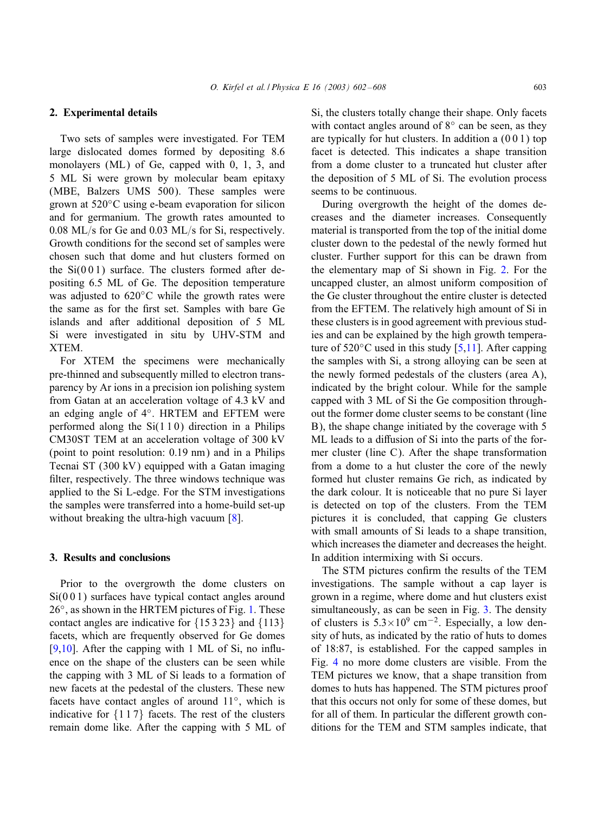# 2. Experimental details

Two sets of samples were investigated. For TEM large dislocated domes formed by depositing 8.6 monolayers (ML) of Ge, capped with 0, 1, 3, and 5 ML Si were grown by molecular beam epitaxy (MBE, Balzers UMS 500). These samples were grown at 520◦C using e-beam evaporation for silicon and for germanium. The growth rates amounted to  $0.08$  ML/s for Ge and  $0.03$  ML/s for Si, respectively. Growth conditions for the second set of samples were chosen such that dome and hut clusters formed on the  $Si(001)$  surface. The clusters formed after depositing 6.5 ML of Ge. The deposition temperature was adjusted to 620◦C while the growth rates were the same as for the first set. Samples with bare Ge islands and after additional deposition of 5 ML Si were investigated in situ by UHV-STM and XTEM.

For XTEM the specimens were mechanically pre-thinned and subsequently milled to electron transparency by Ar ions in a precision ion polishing system from Gatan at an acceleration voltage of 4.3 kV and an edging angle of 4◦. HRTEM and EFTEM were performed along the  $Si(110)$  direction in a Philips CM30ST TEM at an acceleration voltage of 300 kV (point to point resolution: 0:19 nm) and in a Philips Tecnai ST (300 kV) equipped with a Gatan imaging filter, respectively. The three windows technique was applied to the Si L-edge. For the STM investigations the samples were transferred into a home-build set-up without breaking the ultra-high vacuum [\[8\]](#page-6-0).

#### 3. Results and conclusions

Prior to the overgrowth the dome clusters on Si(001) surfaces have typical contact angles around 26◦, as shown in the HRTEM pictures of Fig. [1.](#page-2-0) These contact angles are indicative for {15 3 23} and {113} facets, which are frequently observed for Ge domes [\[9,10\]](#page-6-0). After the capping with 1 ML of Si, no influence on the shape of the clusters can be seen while the capping with 3 ML of Si leads to a formation of new facets at the pedestal of the clusters. These new facets have contact angles of around 11◦, which is indicative for  $\{117\}$  facets. The rest of the clusters remain dome like. After the capping with 5 ML of Si, the clusters totally change their shape. Only facets with contact angles around of  $8°$  can be seen, as they are typically for hut clusters. In addition a (0 0 1) top facet is detected. This indicates a shape transition from a dome cluster to a truncated hut cluster after the deposition of 5 ML of Si. The evolution process seems to be continuous.

During overgrowth the height of the domes decreases and the diameter increases. Consequently material is transported from the top of the initial dome cluster down to the pedestal of the newly formed hut cluster. Further support for this can be drawn from the elementary map of Si shown in Fig. [2.](#page-2-0) For the uncapped cluster, an almost uniform composition of the Ge cluster throughout the entire cluster is detected from the EFTEM. The relatively high amount of Si in these clusters is in good agreement with previous studies and can be explained by the high growth temperature of  $520^{\circ}$ C used in this study [\[5,11\]](#page-6-0). After capping the samples with Si, a strong alloying can be seen at the newly formed pedestals of the clusters (area A), indicated by the bright colour. While for the sample capped with 3 ML of Si the Ge composition throughout the former dome cluster seems to be constant (line B), the shape change initiated by the coverage with 5 ML leads to a diffusion of Si into the parts of the former cluster (line C). After the shape transformation from a dome to a hut cluster the core of the newly formed hut cluster remains Ge rich, as indicated by the dark colour. It is noticeable that no pure Si layer is detected on top of the clusters. From the TEM pictures it is concluded, that capping Ge clusters with small amounts of Si leads to a shape transition, which increases the diameter and decreases the height. In addition intermixing with Si occurs.

The STM pictures confirm the results of the TEM investigations. The sample without a cap layer is grown in a regime, where dome and hut clusters exist simultaneously, as can be seen in Fig. [3.](#page-3-0) The density of clusters is  $5.3 \times 10^9$  cm<sup>-2</sup>. Especially, a low density of huts, as indicated by the ratio of huts to domes of 18:87, is established. For the capped samples in Fig. [4](#page-4-0) no more dome clusters are visible. From the TEM pictures we know, that a shape transition from domes to huts has happened. The STM pictures proof that this occurs not only for some of these domes, but for all of them. In particular the different growth conditions for the TEM and STM samples indicate, that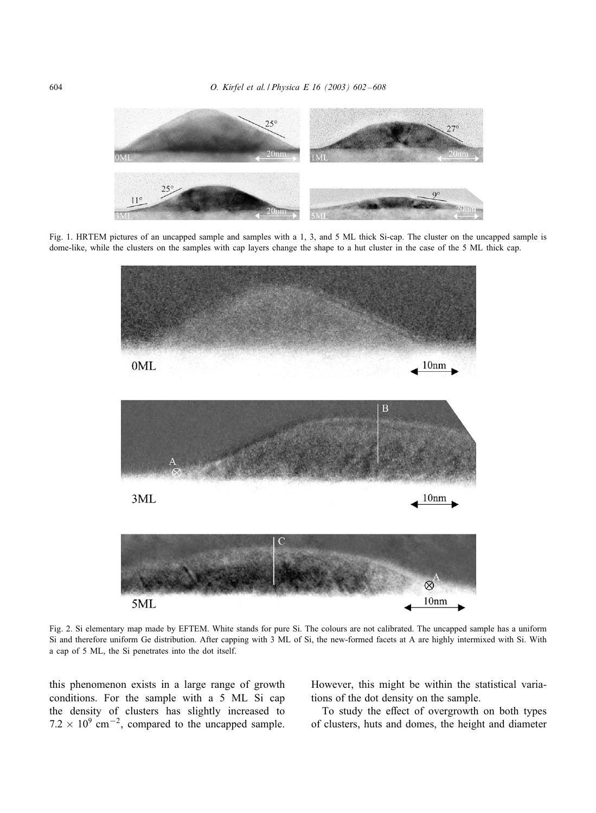<span id="page-2-0"></span>

Fig. 1. HRTEM pictures of an uncapped sample and samples with a 1, 3, and 5 ML thick Si-cap. The cluster on the uncapped sample is dome-like, while the clusters on the samples with cap layers change the shape to a hut cluster in the case of the 5 ML thick cap.



Fig. 2. Si elementary map made by EFTEM. White stands for pure Si. The colours are not calibrated. The uncapped sample has a uniform Si and therefore uniform Ge distribution. After capping with 3 ML of Si, the new-formed facets at A are highly intermixed with Si. With a cap of 5 ML, the Si penetrates into the dot itself.

this phenomenon exists in a large range of growth conditions. For the sample with a 5 ML Si cap the density of clusters has slightly increased to  $7.2 \times 10^9$  cm<sup>-2</sup>, compared to the uncapped sample. However, this might be within the statistical variations of the dot density on the sample.

To study the effect of overgrowth on both types of clusters, huts and domes, the height and diameter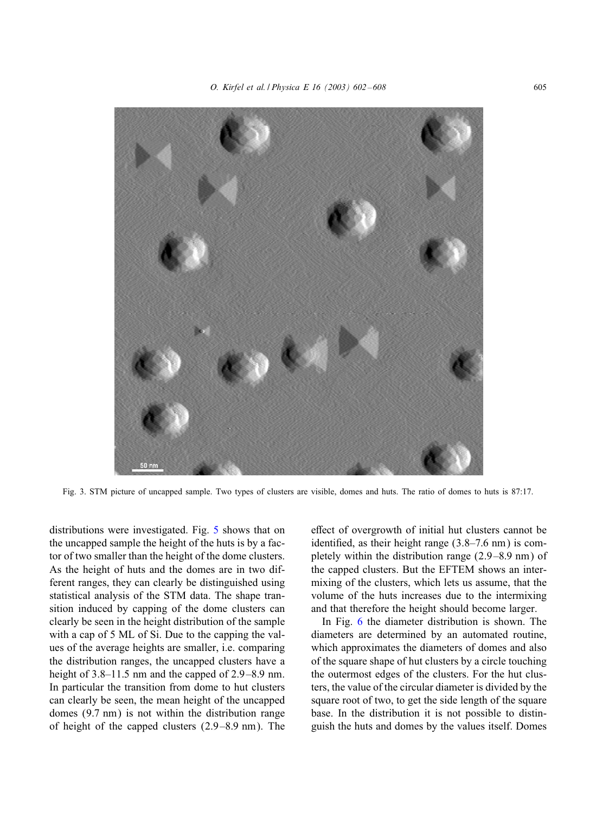<span id="page-3-0"></span>

Fig. 3. STM picture of uncapped sample. Two types of clusters are visible, domes and huts. The ratio of domes to huts is 87:17.

distributions were investigated. Fig. [5](#page-5-0) shows that on the uncapped sample the height of the huts is by a factor of two smaller than the height of the dome clusters. As the height of huts and the domes are in two different ranges, they can clearly be distinguished using statistical analysis of the STM data. The shape transition induced by capping of the dome clusters can clearly be seen in the height distribution of the sample with a cap of 5 ML of Si. Due to the capping the values of the average heights are smaller, i.e. comparing the distribution ranges, the uncapped clusters have a height of  $3.8-11.5$  nm and the capped of  $2.9-8.9$  nm. In particular the transition from dome to hut clusters can clearly be seen, the mean height of the uncapped domes (9:7 nm) is not within the distribution range of height of the capped clusters  $(2.9-8.9 \text{ nm})$ . The effect of overgrowth of initial hut clusters cannot be identified, as their height range  $(3.8-7.6 \text{ nm})$  is completely within the distribution range  $(2.9-8.9 \text{ nm})$  of the capped clusters. But the EFTEM shows an intermixing of the clusters, which lets us assume, that the volume of the huts increases due to the intermixing and that therefore the height should become larger.

In Fig. [6](#page-5-0) the diameter distribution is shown. The diameters are determined by an automated routine, which approximates the diameters of domes and also of the square shape of hut clusters by a circle touching the outermost edges of the clusters. For the hut clusters, the value of the circular diameter is divided by the square root of two, to get the side length of the square base. In the distribution it is not possible to distinguish the huts and domes by the values itself. Domes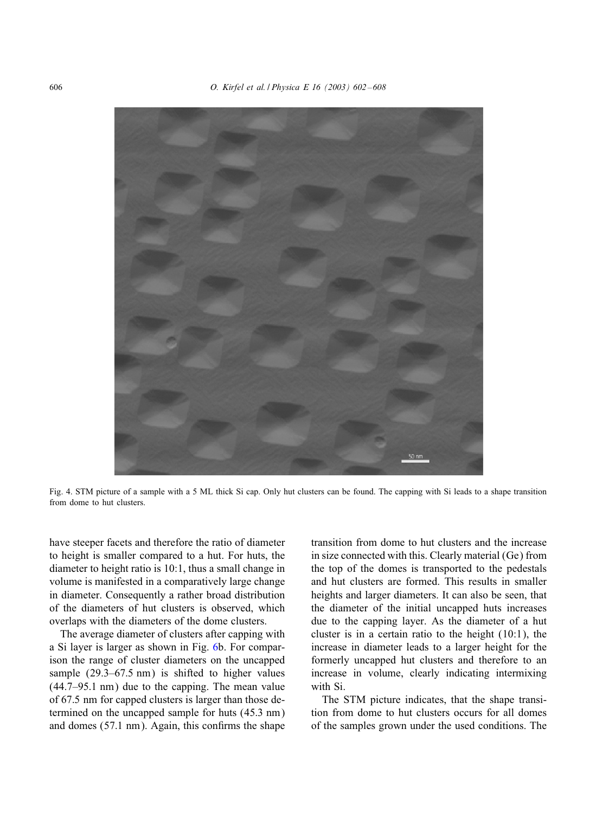<span id="page-4-0"></span>

Fig. 4. STM picture of a sample with a 5 ML thick Si cap. Only hut clusters can be found. The capping with Si leads to a shape transition from dome to hut clusters.

have steeper facets and therefore the ratio of diameter to height is smaller compared to a hut. For huts, the diameter to height ratio is 10:1, thus a small change in volume is manifested in a comparatively large change in diameter. Consequently a rather broad distribution of the diameters of hut clusters is observed, which overlaps with the diameters of the dome clusters.

The average diameter of clusters after capping with a Si layer is larger as shown in Fig. [6b](#page-5-0). For comparison the range of cluster diameters on the uncapped sample  $(29.3-67.5 \text{ nm})$  is shifted to higher values (44.7–95:1 nm) due to the capping. The mean value of 67:5 nm for capped clusters is larger than those determined on the uncapped sample for huts (45:3 nm) and domes  $(57.1 \text{ nm})$ . Again, this confirms the shape

transition from dome to hut clusters and the increase in size connected with this. Clearly material (Ge) from the top of the domes is transported to the pedestals and hut clusters are formed. This results in smaller heights and larger diameters. It can also be seen, that the diameter of the initial uncapped huts increases due to the capping layer. As the diameter of a hut cluster is in a certain ratio to the height (10:1), the increase in diameter leads to a larger height for the formerly uncapped hut clusters and therefore to an increase in volume, clearly indicating intermixing with Si.

The STM picture indicates, that the shape transition from dome to hut clusters occurs for all domes of the samples grown under the used conditions. The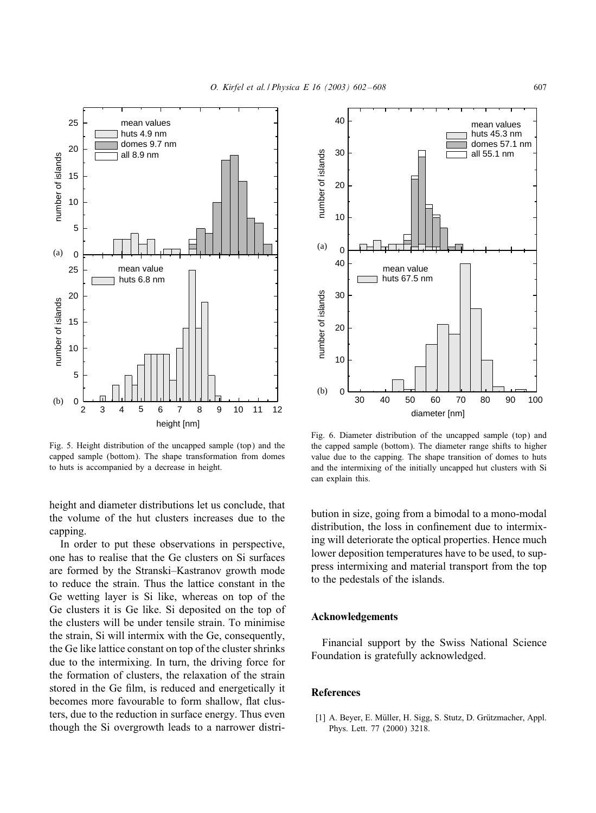<span id="page-5-0"></span>

Fig. 5. Height distribution of the uncapped sample (top) and the capped sample (bottom). The shape transformation from domes to huts is accompanied by a decrease in height.

height and diameter distributions let us conclude, that the volume of the hut clusters increases due to the capping.

In order to put these observations in perspective, one has to realise that the Ge clusters on Si surfaces are formed by the Stranski–Kastranov growth mode to reduce the strain. Thus the lattice constant in the Ge wetting layer is Si like, whereas on top of the Ge clusters it is Ge like. Si deposited on the top of the clusters will be under tensile strain. To minimise the strain, Si will intermix with the Ge, consequently, the Ge like lattice constant on top of the cluster shrinks due to the intermixing. In turn, the driving force for the formation of clusters, the relaxation of the strain stored in the Ge film, is reduced and energetically it becomes more favourable to form shallow, flat clusters, due to the reduction in surface energy. Thus even though the Si overgrowth leads to a narrower distri-



Fig. 6. Diameter distribution of the uncapped sample (top) and the capped sample (bottom). The diameter range shifts to higher value due to the capping. The shape transition of domes to huts and the intermixing of the initially uncapped hut clusters with Si can explain this.

bution in size, going from a bimodal to a mono-modal distribution, the loss in confinement due to intermixing will deteriorate the optical properties. Hence much lower deposition temperatures have to be used, to suppress intermixing and material transport from the top to the pedestals of the islands.

### Acknowledgements

Financial support by the Swiss National Science Foundation is gratefully acknowledged.

# References

[1] A. Beyer, E. Müller, H. Sigg, S. Stutz, D. Grützmacher, Appl. Phys. Lett. 77 (2000) 3218.